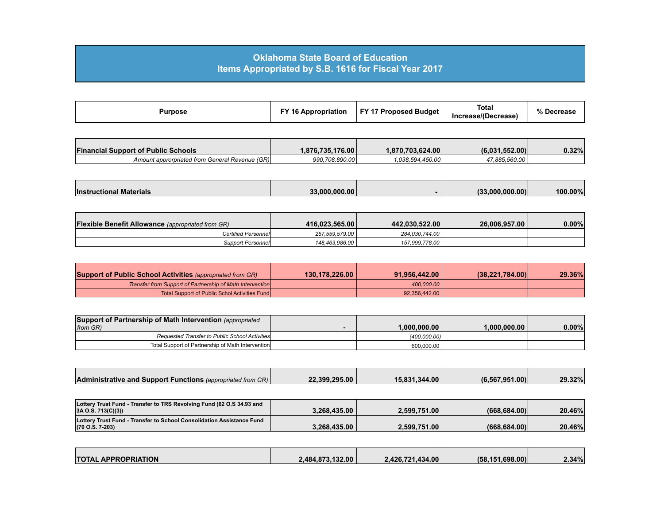## **Oklahoma State Board of Education Items Appropriated by S.B. 1616 for Fiscal Year 2017**

| 17 Proposed Budget<br>FY <sub>1</sub><br>Purpose<br>`Appropriation | <b>Total</b><br>Increase/(Decrease) | % Decrease |
|--------------------------------------------------------------------|-------------------------------------|------------|
|--------------------------------------------------------------------|-------------------------------------|------------|

| <b>Financial Support of Public Schools</b>     | 1.876.735.176.00 | 1,870,703,624.00 | 1.552.00<br>(6.031 | 0.32% |
|------------------------------------------------|------------------|------------------|--------------------|-------|
| Amount approrpriated from General Revenue (GR) | 990.708.890.00   | 1.038.594.450.00 | 17.885.560.00      |       |

| <b>Instructional</b><br><b>I Materials</b> | 33.000.000.00 | 0.00000000 <br>$\sqrt{2}$ | 100.00% |
|--------------------------------------------|---------------|---------------------------|---------|

| <b>Flexible Benefit Allowance</b> (appropriated from GR) | 416.023.565.00 | 442.030.522.00   | 26.006.957.00 | $0.00\%$ |
|----------------------------------------------------------|----------------|------------------|---------------|----------|
| Certified Personnell                                     | 267.559.579.00 | 284.030.744.00   |               |          |
| Support Personnel                                        | 148.463.986.00 | 157.999.778.00 \ |               |          |

| <b>Support of Public School Activities</b> (appropriated from GR) | 130.178.226.00 | 91.956.442.00 | (38.221.784.00) | 29.36% |
|-------------------------------------------------------------------|----------------|---------------|-----------------|--------|
| Transfer from Support of Partnership of Math Intervention         |                | 400,000,00    |                 |        |
| Total Support of Public Schol Activities Fund                     |                | 92.356.442.00 |                 |        |

| Support of Partnership of Math Intervention (appropriated |              |              |       |
|-----------------------------------------------------------|--------------|--------------|-------|
| from GR)                                                  | 1.000.000.00 | 1.000.000.00 | 0.00% |
| Requested Transfer to Public School Activities            | (400.000.00) |              |       |
| Total Support of Partnership of Math Intervention         | 600.000.00   |              |       |

| <b>Administrative and Support Functions</b> (appropriated from GR) | 22.399.295.00 | 15.831.344.00 | (6.567.951.00) | 29.32% |
|--------------------------------------------------------------------|---------------|---------------|----------------|--------|

| Lottery Trust Fund - Transfer to TRS Revolving Fund (62 O.S 34.93 and        |              |              |              |        |
|------------------------------------------------------------------------------|--------------|--------------|--------------|--------|
| 3A O.S. 713(C)(3)                                                            | 3.268.435.00 | 2.599.751.00 | (668.684.00) | 20.46% |
| <b>Lottery Trust Fund - Transfer to School Consolidation Assistance Fund</b> |              |              |              |        |
| $(70 \text{ O.S. } 7-203)$                                                   | 3.268.435.00 | 2.599.751.00 | (668.684.00) | 20.46% |

| <b>TOTAL APPROPRIATION</b> | 2.484.873.132.00 | 2.426.721.434.00 | (58.151.698.00) | $2.34\%$ |
|----------------------------|------------------|------------------|-----------------|----------|